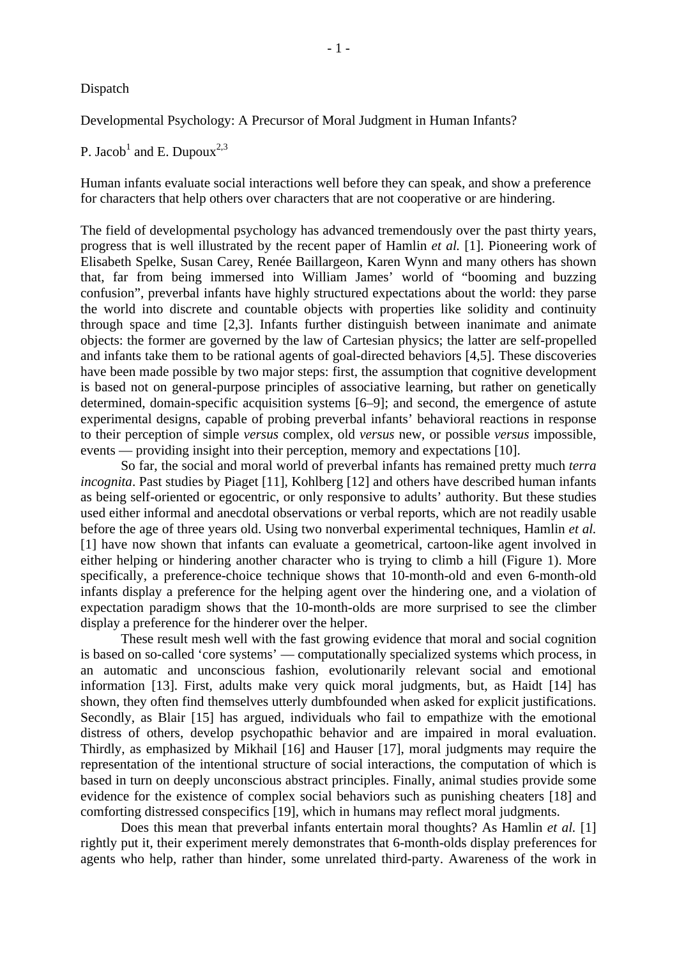Developmental Psychology: A Precursor of Moral Judgment in Human Infants?

P. Jacob<sup>1</sup> and E. Dupoux<sup>2,3</sup>

Human infants evaluate social interactions well before they can speak, and show a preference for characters that help others over characters that are not cooperative or are hindering.

The field of developmental psychology has advanced tremendously over the past thirty years, progress that is well illustrated by the recent paper of Hamlin *et al.* [1]. Pioneering work of Elisabeth Spelke, Susan Carey, Renée Baillargeon, Karen Wynn and many others has shown that, far from being immersed into William James' world of "booming and buzzing confusion", preverbal infants have highly structured expectations about the world: they parse the world into discrete and countable objects with properties like solidity and continuity through space and time [2,3]. Infants further distinguish between inanimate and animate objects: the former are governed by the law of Cartesian physics; the latter are self-propelled and infants take them to be rational agents of goal-directed behaviors [4,5]. These discoveries have been made possible by two major steps: first, the assumption that cognitive development is based not on general-purpose principles of associative learning, but rather on genetically determined, domain-specific acquisition systems [6–9]; and second, the emergence of astute experimental designs, capable of probing preverbal infants' behavioral reactions in response to their perception of simple *versus* complex, old *versus* new, or possible *versus* impossible, events — providing insight into their perception, memory and expectations [10].

So far, the social and moral world of preverbal infants has remained pretty much *terra incognita*. Past studies by Piaget [11], Kohlberg [12] and others have described human infants as being self-oriented or egocentric, or only responsive to adults' authority. But these studies used either informal and anecdotal observations or verbal reports, which are not readily usable before the age of three years old. Using two nonverbal experimental techniques, Hamlin *et al.* [1] have now shown that infants can evaluate a geometrical, cartoon-like agent involved in either helping or hindering another character who is trying to climb a hill (Figure 1). More specifically, a preference-choice technique shows that 10-month-old and even 6-month-old infants display a preference for the helping agent over the hindering one, and a violation of expectation paradigm shows that the 10-month-olds are more surprised to see the climber display a preference for the hinderer over the helper.

These result mesh well with the fast growing evidence that moral and social cognition is based on so-called 'core systems' — computationally specialized systems which process, in an automatic and unconscious fashion, evolutionarily relevant social and emotional information [13]. First, adults make very quick moral judgments, but, as Haidt [14] has shown, they often find themselves utterly dumbfounded when asked for explicit justifications. Secondly, as Blair [15] has argued, individuals who fail to empathize with the emotional distress of others, develop psychopathic behavior and are impaired in moral evaluation. Thirdly, as emphasized by Mikhail [16] and Hauser [17], moral judgments may require the representation of the intentional structure of social interactions, the computation of which is based in turn on deeply unconscious abstract principles. Finally, animal studies provide some evidence for the existence of complex social behaviors such as punishing cheaters [18] and comforting distressed conspecifics [19], which in humans may reflect moral judgments.

Does this mean that preverbal infants entertain moral thoughts? As Hamlin *et al.* [1] rightly put it, their experiment merely demonstrates that 6-month-olds display preferences for agents who help, rather than hinder, some unrelated third-party. Awareness of the work in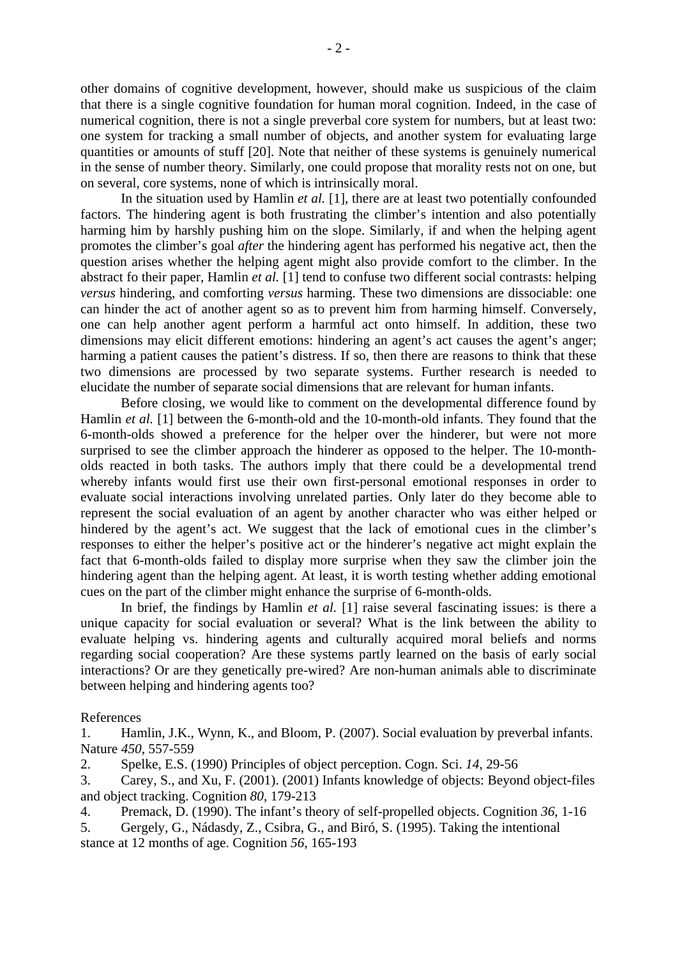other domains of cognitive development, however, should make us suspicious of the claim that there is a single cognitive foundation for human moral cognition. Indeed, in the case of numerical cognition, there is not a single preverbal core system for numbers, but at least two: one system for tracking a small number of objects, and another system for evaluating large quantities or amounts of stuff [20]. Note that neither of these systems is genuinely numerical in the sense of number theory. Similarly, one could propose that morality rests not on one, but on several, core systems, none of which is intrinsically moral.

In the situation used by Hamlin *et al.* [1], there are at least two potentially confounded factors. The hindering agent is both frustrating the climber's intention and also potentially harming him by harshly pushing him on the slope. Similarly, if and when the helping agent promotes the climber's goal *after* the hindering agent has performed his negative act, then the question arises whether the helping agent might also provide comfort to the climber. In the abstract fo their paper, Hamlin *et al.* [1] tend to confuse two different social contrasts: helping *versus* hindering, and comforting *versus* harming. These two dimensions are dissociable: one can hinder the act of another agent so as to prevent him from harming himself. Conversely, one can help another agent perform a harmful act onto himself. In addition, these two dimensions may elicit different emotions: hindering an agent's act causes the agent's anger; harming a patient causes the patient's distress. If so, then there are reasons to think that these two dimensions are processed by two separate systems. Further research is needed to elucidate the number of separate social dimensions that are relevant for human infants.

Before closing, we would like to comment on the developmental difference found by Hamlin *et al.* [1] between the 6-month-old and the 10-month-old infants. They found that the 6-month-olds showed a preference for the helper over the hinderer, but were not more surprised to see the climber approach the hinderer as opposed to the helper. The 10-montholds reacted in both tasks. The authors imply that there could be a developmental trend whereby infants would first use their own first-personal emotional responses in order to evaluate social interactions involving unrelated parties. Only later do they become able to represent the social evaluation of an agent by another character who was either helped or hindered by the agent's act. We suggest that the lack of emotional cues in the climber's responses to either the helper's positive act or the hinderer's negative act might explain the fact that 6-month-olds failed to display more surprise when they saw the climber join the hindering agent than the helping agent. At least, it is worth testing whether adding emotional cues on the part of the climber might enhance the surprise of 6-month-olds.

In brief, the findings by Hamlin *et al.* [1] raise several fascinating issues: is there a unique capacity for social evaluation or several? What is the link between the ability to evaluate helping vs. hindering agents and culturally acquired moral beliefs and norms regarding social cooperation? Are these systems partly learned on the basis of early social interactions? Or are they genetically pre-wired? Are non-human animals able to discriminate between helping and hindering agents too?

## References

1. Hamlin, J.K., Wynn, K., and Bloom, P. (2007). Social evaluation by preverbal infants. Nature *450*, 557-559

2. Spelke, E.S. (1990) Principles of object perception. Cogn. Sci. *14*, 29-56

3. Carey, S., and Xu, F. (2001). (2001) Infants knowledge of objects: Beyond object-files and object tracking. Cognition *80*, 179-213

4. Premack, D. (1990). The infant's theory of self-propelled objects. Cognition *36*, 1-16

5. Gergely, G., Nádasdy, Z., Csibra, G., and Biró, S. (1995). Taking the intentional stance at 12 months of age. Cognition *56*, 165-193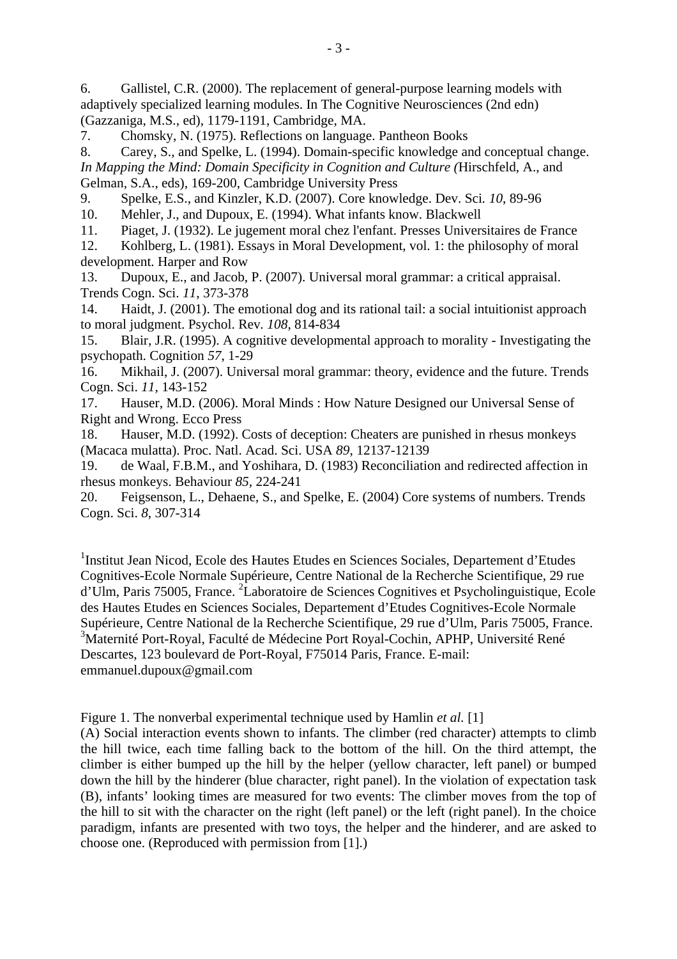6. Gallistel, C.R. (2000). The replacement of general-purpose learning models with adaptively specialized learning modules. In The Cognitive Neurosciences (2nd edn) (Gazzaniga, M.S., ed), 1179-1191, Cambridge, MA.

7. Chomsky, N. (1975). Reflections on language. Pantheon Books

8. Carey, S., and Spelke, L. (1994). Domain-specific knowledge and conceptual change. *In Mapping the Mind: Domain Specificity in Cognition and Culture (*Hirschfeld, A., and Gelman, S.A., eds), 169-200, Cambridge University Press

9. Spelke, E.S., and Kinzler, K.D. (2007). Core knowledge. Dev. Sci*. 10*, 89-96

10. Mehler, J., and Dupoux, E. (1994). What infants know. Blackwell

11. Piaget, J. (1932). Le jugement moral chez l'enfant. Presses Universitaires de France

12. Kohlberg, L. (1981). Essays in Moral Development, vol. 1: the philosophy of moral development. Harper and Row

13. Dupoux, E., and Jacob, P. (2007). Universal moral grammar: a critical appraisal. Trends Cogn. Sci. *11*, 373-378

14. Haidt, J. (2001). The emotional dog and its rational tail: a social intuitionist approach to moral judgment. Psychol. Rev*. 108*, 814-834

15. Blair, J.R. (1995). A cognitive developmental approach to morality - Investigating the psychopath. Cognition *57*, 1-29

16. Mikhail, J. (2007). Universal moral grammar: theory, evidence and the future. Trends Cogn. Sci. *11*, 143-152

17. Hauser, M.D. (2006). Moral Minds : How Nature Designed our Universal Sense of Right and Wrong. Ecco Press

18. Hauser, M.D. (1992). Costs of deception: Cheaters are punished in rhesus monkeys (Macaca mulatta). Proc. Natl. Acad. Sci. USA *89*, 12137-12139

19. de Waal, F.B.M., and Yoshihara, D. (1983) Reconciliation and redirected affection in rhesus monkeys. Behaviour *85*, 224-241

20. Feigsenson, L., Dehaene, S., and Spelke, E. (2004) Core systems of numbers. Trends Cogn. Sci. *8*, 307-314

<sup>1</sup>Institut Jean Nicod, Ecole des Hautes Etudes en Sciences Sociales, Departement d'Etudes Cognitives-Ecole Normale Supérieure, Centre National de la Recherche Scientifique, 29 rue d'Ulm, Paris 75005, France. <sup>2</sup>Laboratoire de Sciences Cognitives et Psycholinguistique, Ecole des Hautes Etudes en Sciences Sociales, Departement d'Etudes Cognitives-Ecole Normale Supérieure, Centre National de la Recherche Scientifique, 29 rue d'Ulm, Paris 75005, France. 3 Maternité Port-Royal, Faculté de Médecine Port Royal-Cochin, APHP, Université René Descartes, 123 boulevard de Port-Royal, F75014 Paris, France. E-mail: emmanuel.dupoux@gmail.com

Figure 1. The nonverbal experimental technique used by Hamlin *et al.* [1]

(A) Social interaction events shown to infants. The climber (red character) attempts to climb the hill twice, each time falling back to the bottom of the hill. On the third attempt, the climber is either bumped up the hill by the helper (yellow character, left panel) or bumped down the hill by the hinderer (blue character, right panel). In the violation of expectation task (B), infants' looking times are measured for two events: The climber moves from the top of the hill to sit with the character on the right (left panel) or the left (right panel). In the choice paradigm, infants are presented with two toys, the helper and the hinderer, and are asked to choose one. (Reproduced with permission from [1].)